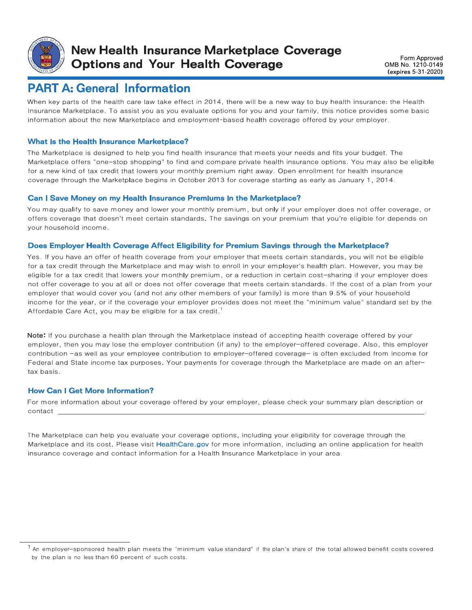

### **New Health Insurance Marketplace Coverage Options and Your Health Coverage**

Form Approved OMB No. 1210-0149 (expires 5-31-2020)

## **PART A: General Information**

When key parts of the health care law take effect in 2014, there will be a new way to buy health insurance: the Health Insurance Marketplace. To assist you as you evaluate options for you and your family, this notice provides some basic information about the new Marketplace and employment-based health coverage offered by your employer.

#### **What is the Health Insurance Marketplace?**

The Marketplace is designed to help you find health insurance that meets your needs and fits your budget. The Marketplace offers "one-stop shopping" to find and compare private health insurance options. You may also be eligible for a new kind of tax credit that lowers your monthly premium right away. Open enrollment for health insurance coverage through the Marketplace begins in October 2013 for coverage starting as early as January 1, 2014.

#### Can I Save Money on my Health Insurance Premiums in the Marketplace?

You may qualify to save money and lower your monthly premium, but only if your employer does not offer coverage, or offers coverage that doesn't meet certain standards. The savings on your premium that you're eligible for depends on your household income.

#### Does Employer Health Coverage Affect Eligibility for Premium Savings through the Marketplace?

Yes. If you have an offer of health coverage from your employer that meets certain standards, you will not be eligible for a tax credit through the Marketplace and may wish to enroll in your employer's health plan. However, you may be eligible for a tax credit that lowers your monthly premium, or a reduction in certain cost-sharing if your employer does not offer coverage to you at all or does not offer coverage that meets certain standards. If the cost of a plan from your employer that would cover you (and not any other members of your family) is more than 9.5% of your household income for the year, or if the coverage your employer provides does not meet the "minimum value" standard set by the Affordable Care Act, you may be eligible for a tax credit.<sup>1</sup>

Note: If you purchase a health plan through the Marketplace instead of accepting health coverage offered by your employer, then you may lose the employer contribution (if any) to the employer-offered coverage. Also, this employer contribution -as well as your employee contribution to employer-offered coverage- is often excluded from income for Federal and State income tax purposes. Your payments for coverage through the Marketplace are made on an aftertax basis.

#### **How Can I Get More Information?**

For more information about your coverage offered by your employer, please check your summary plan description or  $contact$   $\_$ 

The Marketplace can help you evaluate your coverage options, including your eligibility for coverage through the Marketplace and its cost. Please visit HealthCare.gov for more information, including an online application for health insurance coverage and contact information for a Health Insurance Marketplace in your area.

 $1$  An employer-sponsored health plan meets the "minimum value standard" if the plan's share of the total allowed benefit costs covered by the plan is no less than 60 percent of such costs.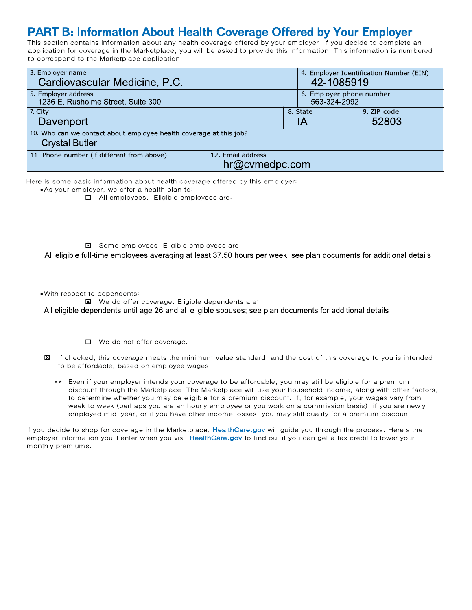# **PART B: Information About Health Coverage Offered by Your Employer**

This section contains information about any health coverage offered by your employer. If you decide to complete an application for coverage in the Marketplace, you will be asked to provide this information. This information is numbered to correspond to the Marketplace application.

| 4. Employer Identification Number (EIN)<br>42-1085919              |  |  |  |  |  |  |  |  |
|--------------------------------------------------------------------|--|--|--|--|--|--|--|--|
| 6. Employer phone number<br>563-324-2992                           |  |  |  |  |  |  |  |  |
|                                                                    |  |  |  |  |  |  |  |  |
|                                                                    |  |  |  |  |  |  |  |  |
| 10. Who can we contact about employee health coverage at this job? |  |  |  |  |  |  |  |  |
| <b>Crystal Butler</b>                                              |  |  |  |  |  |  |  |  |
|                                                                    |  |  |  |  |  |  |  |  |
|                                                                    |  |  |  |  |  |  |  |  |
|                                                                    |  |  |  |  |  |  |  |  |

Here is some basic information about health coverage offered by this employer:

•As your employer, we offer a health plan to:

□ All employees. Eligible employees are:

□ Some employees. Eligible employees are:

All eligible full-time employees averaging at least 37.50 hours per week; see plan documents for additional details

.With respect to dependents:

We do offer coverage. Eligible dependents are:

All eligible dependents until age 26 and all eligible spouses; see plan documents for additional details

- $\Box$  We do not offer coverage.
- 图 If checked, this coverage meets the minimum value standard, and the cost of this coverage to you is intended to be affordable, based on employee wages.
	- Even if your employer intends your coverage to be affordable, you may still be eligible for a premium discount through the Marketplace. The Marketplace will use your household income, along with other factors, to determine whether you may be eligible for a premium discount. If, for example, your wages vary from week to week (perhaps you are an hourly employee or you work on a commission basis), if you are newly employed mid-year, or if you have other income losses, you may still qualify for a premium discount.

If you decide to shop for coverage in the Marketplace, HealthCare.gov will guide you through the process. Here's the employer information you'll enter when you visit HealthCare.gov to find out if you can get a tax credit to lower your monthly premiums.